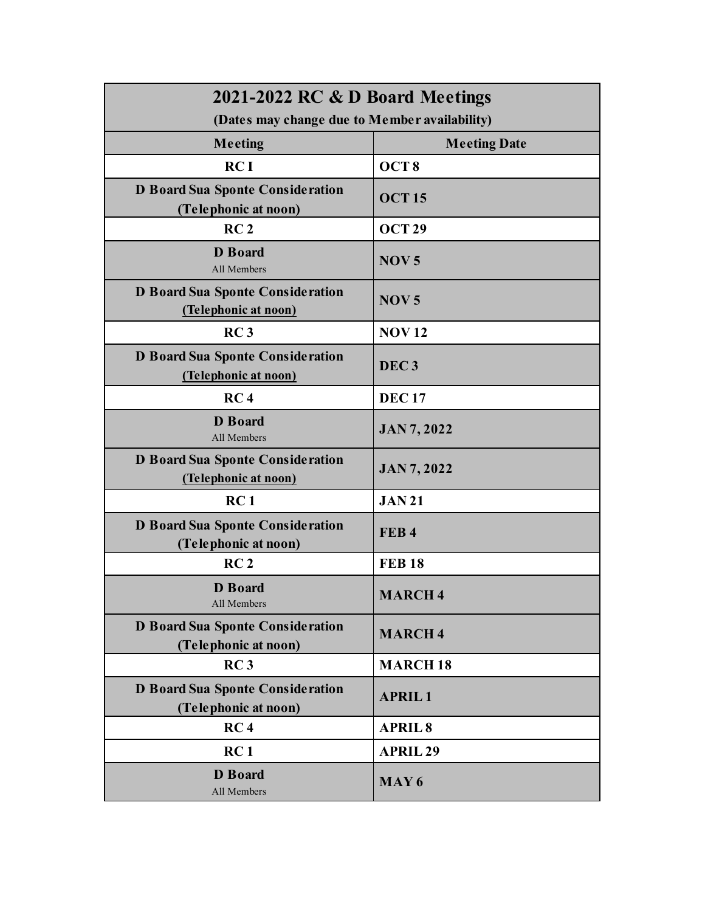| 2021-2022 RC & D Board Meetings                                 |                     |
|-----------------------------------------------------------------|---------------------|
| (Dates may change due to Member availability)                   |                     |
| Meeting                                                         | <b>Meeting Date</b> |
| RCI                                                             | OCT <sub>8</sub>    |
| <b>D Board Sua Sponte Consideration</b><br>(Telephonic at noon) | <b>OCT15</b>        |
| RC <sub>2</sub>                                                 | <b>OCT 29</b>       |
| <b>D</b> Board<br>All Members                                   | NOV <sub>5</sub>    |
| D Board Sua Sponte Consideration<br>(Telephonic at noon)        | NOV <sub>5</sub>    |
| RC <sub>3</sub>                                                 | <b>NOV12</b>        |
| <b>D Board Sua Sponte Consideration</b><br>(Telephonic at noon) | DEC <sub>3</sub>    |
| RC <sub>4</sub>                                                 | <b>DEC17</b>        |
| <b>D</b> Board<br>All Members                                   | <b>JAN 7, 2022</b>  |
| D Board Sua Sponte Consideration<br>(Telephonic at noon)        | <b>JAN 7, 2022</b>  |
| RC <sub>1</sub>                                                 | <b>JAN21</b>        |
| <b>D Board Sua Sponte Consideration</b><br>(Telephonic at noon) | FEB <sub>4</sub>    |
| RC <sub>2</sub>                                                 | <b>FEB 18</b>       |
| <b>D</b> Board<br>All Members                                   | <b>MARCH 4</b>      |
| <b>D Board Sua Sponte Consideration</b><br>(Telephonic at noon) | <b>MARCH4</b>       |
| RC <sub>3</sub>                                                 | <b>MARCH18</b>      |
| <b>D Board Sua Sponte Consideration</b><br>(Telephonic at noon) | <b>APRIL1</b>       |
| RC <sub>4</sub>                                                 | <b>APRIL 8</b>      |
| RC <sub>1</sub>                                                 | <b>APRIL 29</b>     |
| <b>D</b> Board<br>All Members                                   | MAY <sub>6</sub>    |